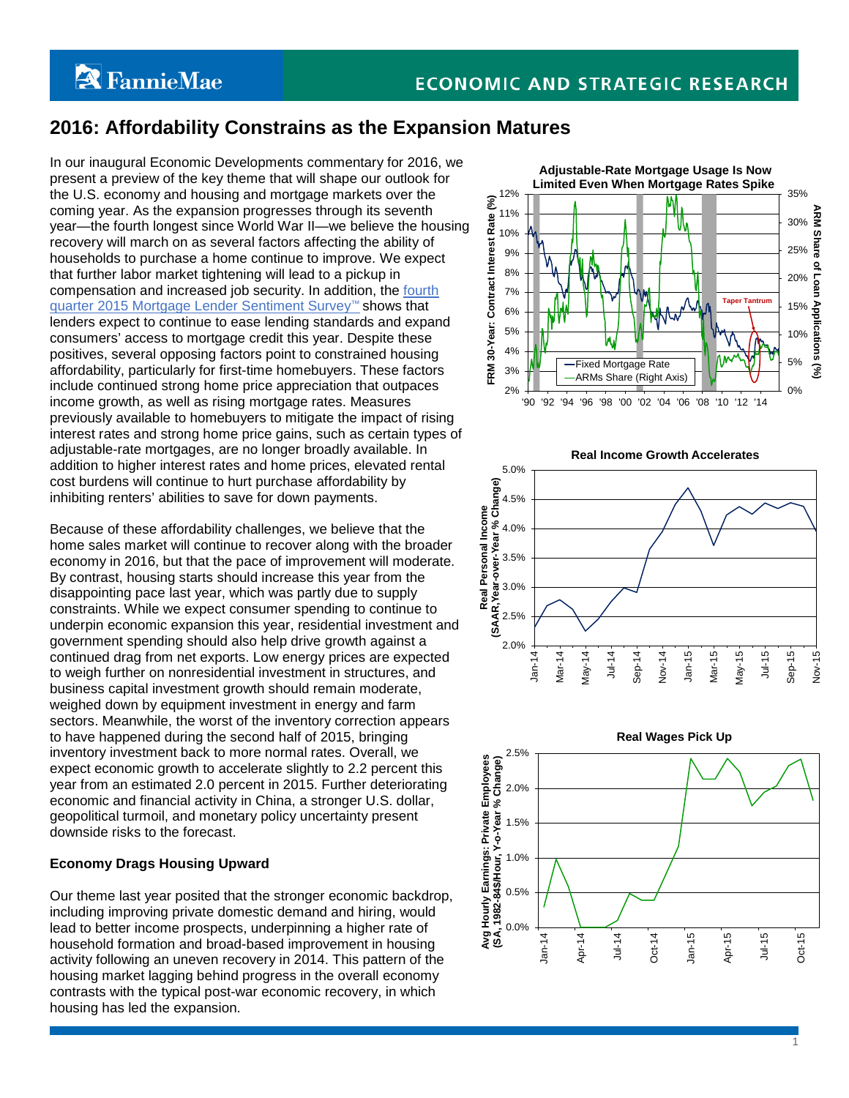# **A** FannieMae

## **2016: Affordability Constrains as the Expansion Matures**

In our inaugural Economic Developments commentary for 2016, we present a preview of the key theme that will shape our outlook for the U.S. economy and housing and mortgage markets over the coming year. As the expansion progresses through its seventh year—the fourth longest since World War II—we believe the housing recovery will march on as several factors affecting the ability of households to purchase a home continue to improve. We expect that further labor market tightening will lead to a pickup in compensation and increased job security. In addition, the [fourth](http://fanniemae.com/portal/research-and-analysis/mortgage-lender-survey.html)  [quarter 2015 Mortgage Lender Sentiment Survey™](http://fanniemae.com/portal/research-and-analysis/mortgage-lender-survey.html) shows that lenders expect to continue to ease lending standards and expand consumers' access to mortgage credit this year. Despite these positives, several opposing factors point to constrained housing affordability, particularly for first-time homebuyers. These factors include continued strong home price appreciation that outpaces income growth, as well as rising mortgage rates. Measures previously available to homebuyers to mitigate the impact of rising interest rates and strong home price gains, such as certain types of adjustable-rate mortgages, are no longer broadly available. In addition to higher interest rates and home prices, elevated rental cost burdens will continue to hurt purchase affordability by inhibiting renters' abilities to save for down payments.

Because of these affordability challenges, we believe that the home sales market will continue to recover along with the broader economy in 2016, but that the pace of improvement will moderate. By contrast, housing starts should increase this year from the disappointing pace last year, which was partly due to supply constraints. While we expect consumer spending to continue to underpin economic expansion this year, residential investment and government spending should also help drive growth against a continued drag from net exports. Low energy prices are expected to weigh further on nonresidential investment in structures, and business capital investment growth should remain moderate, weighed down by equipment investment in energy and farm sectors. Meanwhile, the worst of the inventory correction appears to have happened during the second half of 2015, bringing inventory investment back to more normal rates. Overall, we expect economic growth to accelerate slightly to 2.2 percent this year from an estimated 2.0 percent in 2015. Further deteriorating economic and financial activity in China, a stronger U.S. dollar, geopolitical turmoil, and monetary policy uncertainty present downside risks to the forecast.

### **Economy Drags Housing Upward**

Our theme last year posited that the stronger economic backdrop, including improving private domestic demand and hiring, would lead to better income prospects, underpinning a higher rate of household formation and broad-based improvement in housing activity following an uneven recovery in 2014. This pattern of the housing market lagging behind progress in the overall economy contrasts with the typical post-war economic recovery, in which housing has led the expansion.







1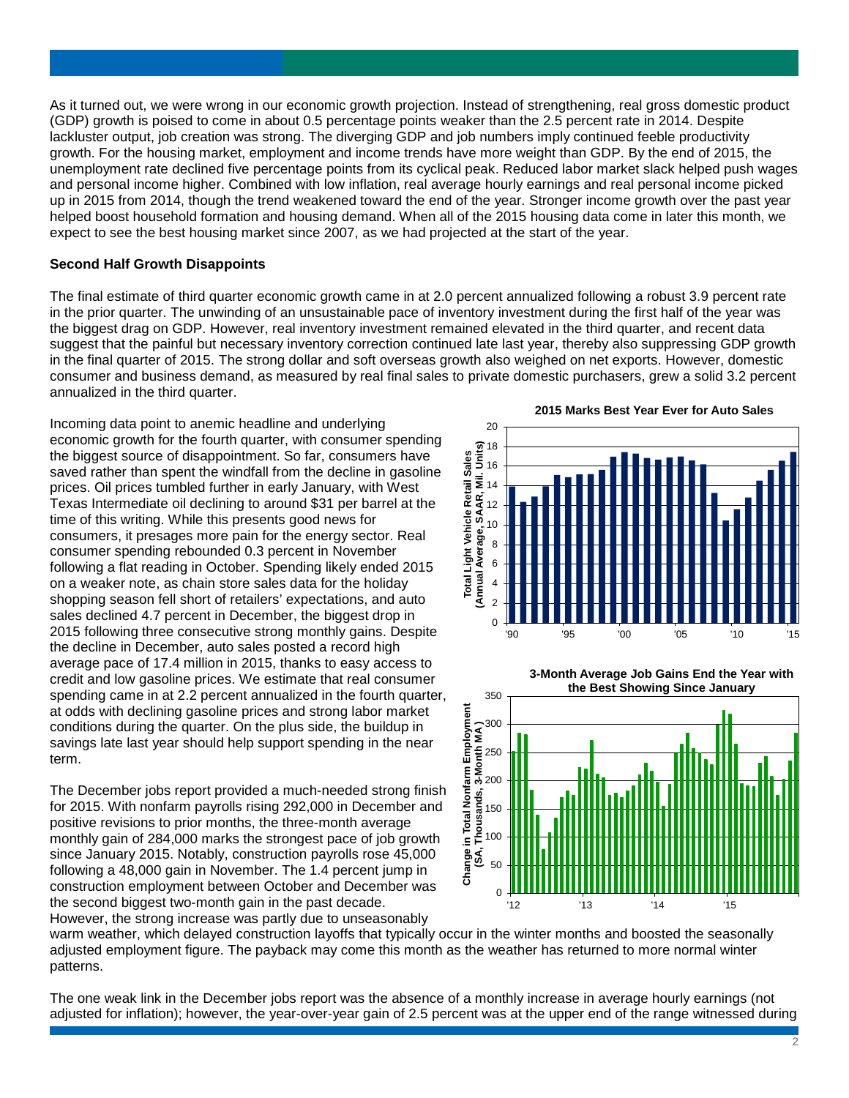As it turned out, we were wrong in our economic growth projection. Instead of strengthening, real gross domestic product (GDP) growth is poised to come in about 0.5 percentage points weaker than the 2.5 percent rate in 2014. Despite lackluster output, job creation was strong. The diverging GDP and job numbers imply continued feeble productivity growth. For the housing market, employment and income trends have more weight than GDP. By the end of 2015, the unemployment rate declined five percentage points from its cyclical peak. Reduced labor market slack helped push wages and personal income higher. Combined with low inflation, real average hourly earnings and real personal income picked up in 2015 from 2014, though the trend weakened toward the end of the year. Stronger income growth over the past year helped boost household formation and housing demand. When all of the 2015 housing data come in later this month, we expect to see the best housing market since 2007, as we had projected at the start of the year.

#### **Second Half Growth Disappoints**

The final estimate of third quarter economic growth came in at 2.0 percent annualized following a robust 3.9 percent rate in the prior quarter. The unwinding of an unsustainable pace of inventory investment during the first half of the year was the biggest drag on GDP. However, real inventory investment remained elevated in the third quarter, and recent data suggest that the painful but necessary inventory correction continued late last year, thereby also suppressing GDP growth in the final quarter of 2015. The strong dollar and soft overseas growth also weighed on net exports. However, domestic consumer and business demand, as measured by real final sales to private domestic purchasers, grew a solid 3.2 percent annualized in the third quarter.

Incoming data point to anemic headline and underlying economic growth for the fourth quarter, with consumer spending the biggest source of disappointment. So far, consumers have saved rather than spent the windfall from the decline in gasoline prices. Oil prices tumbled further in early January, with West Texas Intermediate oil declining to around \$31 per barrel at the time of this writing. While this presents good news for consumers, it presages more pain for the energy sector. Real consumer spending rebounded 0.3 percent in November following a flat reading in October. Spending likely ended 2015 on a weaker note, as chain store sales data for the holiday shopping season fell short of retailers' expectations, and auto sales declined 4.7 percent in December, the biggest drop in 2015 following three consecutive strong monthly gains. Despite the decline in December, auto sales posted a record high average pace of 17.4 million in 2015, thanks to easy access to credit and low gasoline prices. We estimate that real consumer spending came in at 2.2 percent annualized in the fourth quarter, at odds with declining gasoline prices and strong labor market conditions during the quarter. On the plus side, the buildup in savings late last year should help support spending in the near term.

The December jobs report provided a much-needed strong finish for 2015. With nonfarm payrolls rising 292,000 in December and positive revisions to prior months, the three-month average monthly gain of 284,000 marks the strongest pace of job growth since January 2015. Notably, construction payrolls rose 45,000 following a 48,000 gain in November. The 1.4 percent jump in construction employment between October and December was the second biggest two-month gain in the past decade. However, the strong increase was partly due to unseasonably

20 **(Annual Average, SAAR, Mil. Units)** 18 **Total Light Vehicle Retail Sales Total Light Vehicle Retail Sales**  16 14 SAAR, 12 10 (Annual Average, 8 6 4  $\overline{2}$  $\Omega$ '90 '95 '00 '05 '10 '15

**2015 Marks Best Year Ever for Auto Sales**





warm weather, which delayed construction layoffs that typically occur in the winter months and boosted the seasonally adjusted employment figure. The payback may come this month as the weather has returned to more normal winter patterns.

The one weak link in the December jobs report was the absence of a monthly increase in average hourly earnings (not adjusted for inflation); however, the year-over-year gain of 2.5 percent was at the upper end of the range witnessed during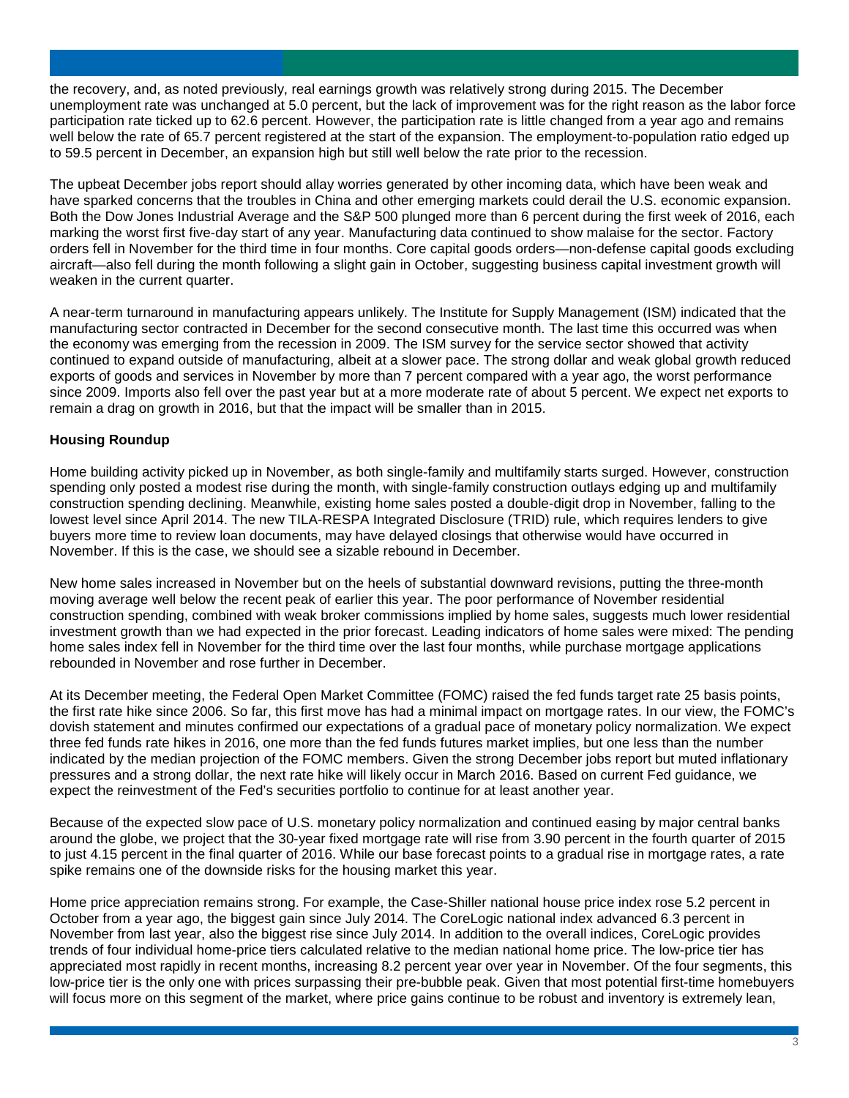the recovery, and, as noted previously, real earnings growth was relatively strong during 2015. The December unemployment rate was unchanged at 5.0 percent, but the lack of improvement was for the right reason as the labor force participation rate ticked up to 62.6 percent. However, the participation rate is little changed from a year ago and remains well below the rate of 65.7 percent registered at the start of the expansion. The employment-to-population ratio edged up to 59.5 percent in December, an expansion high but still well below the rate prior to the recession.

The upbeat December jobs report should allay worries generated by other incoming data, which have been weak and have sparked concerns that the troubles in China and other emerging markets could derail the U.S. economic expansion. Both the Dow Jones Industrial Average and the S&P 500 plunged more than 6 percent during the first week of 2016, each marking the worst first five-day start of any year. Manufacturing data continued to show malaise for the sector. Factory orders fell in November for the third time in four months. Core capital goods orders—non-defense capital goods excluding aircraft—also fell during the month following a slight gain in October, suggesting business capital investment growth will weaken in the current quarter.

A near-term turnaround in manufacturing appears unlikely. The Institute for Supply Management (ISM) indicated that the manufacturing sector contracted in December for the second consecutive month. The last time this occurred was when the economy was emerging from the recession in 2009. The ISM survey for the service sector showed that activity continued to expand outside of manufacturing, albeit at a slower pace. The strong dollar and weak global growth reduced exports of goods and services in November by more than 7 percent compared with a year ago, the worst performance since 2009. Imports also fell over the past year but at a more moderate rate of about 5 percent. We expect net exports to remain a drag on growth in 2016, but that the impact will be smaller than in 2015.

#### **Housing Roundup**

Home building activity picked up in November, as both single-family and multifamily starts surged. However, construction spending only posted a modest rise during the month, with single-family construction outlays edging up and multifamily construction spending declining. Meanwhile, existing home sales posted a double-digit drop in November, falling to the lowest level since April 2014. The new TILA-RESPA Integrated Disclosure (TRID) rule, which requires lenders to give buyers more time to review loan documents, may have delayed closings that otherwise would have occurred in November. If this is the case, we should see a sizable rebound in December.

New home sales increased in November but on the heels of substantial downward revisions, putting the three-month moving average well below the recent peak of earlier this year. The poor performance of November residential construction spending, combined with weak broker commissions implied by home sales, suggests much lower residential investment growth than we had expected in the prior forecast. Leading indicators of home sales were mixed: The pending home sales index fell in November for the third time over the last four months, while purchase mortgage applications rebounded in November and rose further in December.

At its December meeting, the Federal Open Market Committee (FOMC) raised the fed funds target rate 25 basis points, the first rate hike since 2006. So far, this first move has had a minimal impact on mortgage rates. In our view, the FOMC's dovish statement and minutes confirmed our expectations of a gradual pace of monetary policy normalization. We expect three fed funds rate hikes in 2016, one more than the fed funds futures market implies, but one less than the number indicated by the median projection of the FOMC members. Given the strong December jobs report but muted inflationary pressures and a strong dollar, the next rate hike will likely occur in March 2016. Based on current Fed guidance, we expect the reinvestment of the Fed's securities portfolio to continue for at least another year.

Because of the expected slow pace of U.S. monetary policy normalization and continued easing by major central banks around the globe, we project that the 30-year fixed mortgage rate will rise from 3.90 percent in the fourth quarter of 2015 to just 4.15 percent in the final quarter of 2016. While our base forecast points to a gradual rise in mortgage rates, a rate spike remains one of the downside risks for the housing market this year.

Home price appreciation remains strong. For example, the Case-Shiller national house price index rose 5.2 percent in October from a year ago, the biggest gain since July 2014. The CoreLogic national index advanced 6.3 percent in November from last year, also the biggest rise since July 2014. In addition to the overall indices, CoreLogic provides trends of four individual home-price tiers calculated relative to the median national home price. The low-price tier has appreciated most rapidly in recent months, increasing 8.2 percent year over year in November. Of the four segments, this low-price tier is the only one with prices surpassing their pre-bubble peak. Given that most potential first-time homebuyers will focus more on this segment of the market, where price gains continue to be robust and inventory is extremely lean,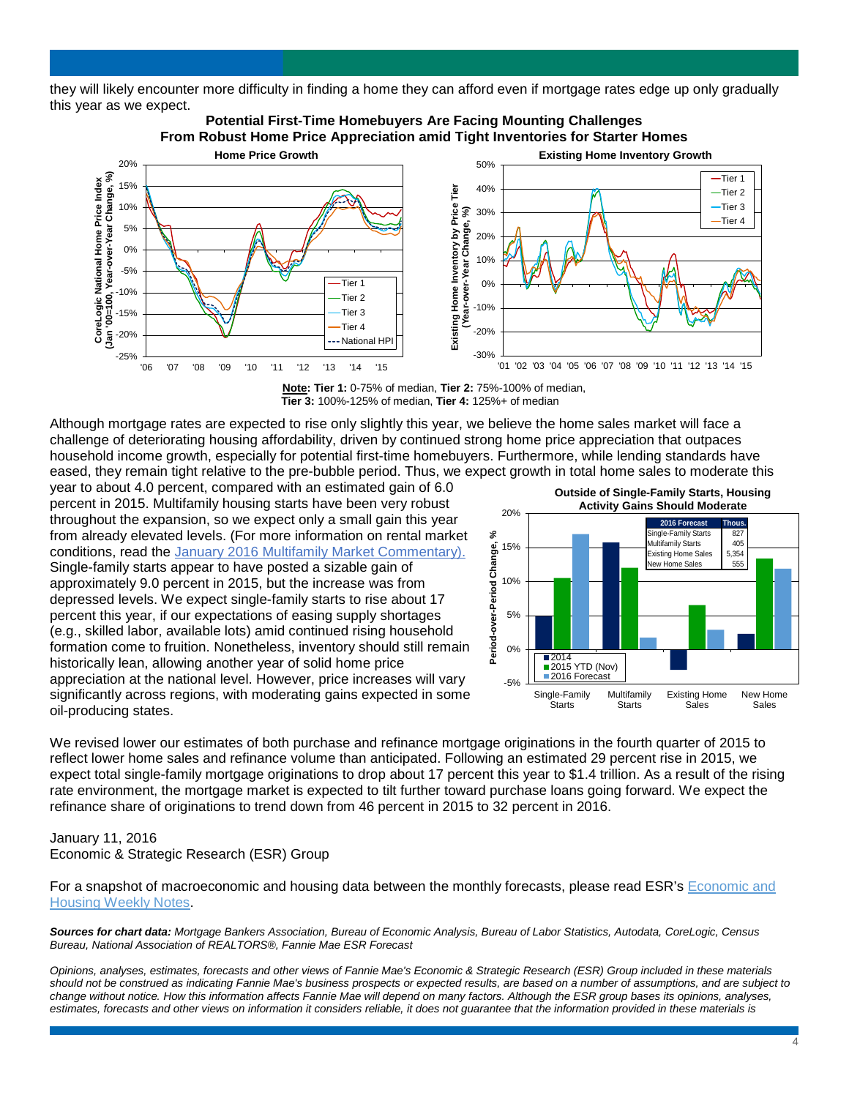they will likely encounter more difficulty in finding a home they can afford even if mortgage rates edge up only gradually this year as we expect.



**Note: Tier 1:** 0-75% of median, **Tier 2:** 75%-100% of median, **Tier 3:** 100%-125% of median, **Tier 4:** 125%+ of median

Although mortgage rates are expected to rise only slightly this year, we believe the home sales market will face a challenge of deteriorating housing affordability, driven by continued strong home price appreciation that outpaces household income growth, especially for potential first-time homebuyers. Furthermore, while lending standards have eased, they remain tight relative to the pre-bubble period. Thus, we expect growth in total home sales to moderate this

year to about 4.0 percent, compared with an estimated gain of 6.0 percent in 2015. Multifamily housing starts have been very robust throughout the expansion, so we expect only a small gain this year from already elevated levels. (For more information on rental market conditions, read the [January 2016 Multifamily Market Commentary\).](http://www.fanniemae.com/resources/file/research/emma/pdf/MF_Market_Commentary_011416.pdf) Single-family starts appear to have posted a sizable gain of approximately 9.0 percent in 2015, but the increase was from depressed levels. We expect single-family starts to rise about 17 percent this year, if our expectations of easing supply shortages (e.g., skilled labor, available lots) amid continued rising household formation come to fruition. Nonetheless, inventory should still remain historically lean, allowing another year of solid home price appreciation at the national level. However, price increases will vary significantly across regions, with moderating gains expected in some oil-producing states.



We revised lower our estimates of both purchase and refinance mortgage originations in the fourth quarter of 2015 to reflect lower home sales and refinance volume than anticipated. Following an estimated 29 percent rise in 2015, we expect total single-family mortgage originations to drop about 17 percent this year to \$1.4 trillion. As a result of the rising rate environment, the mortgage market is expected to tilt further toward purchase loans going forward. We expect the refinance share of originations to trend down from 46 percent in 2015 to 32 percent in 2016.

#### January 11, 2016 Economic & Strategic Research (ESR) Group

For a snapshot of macroeconomic and housing data between the monthly forecasts, please read ESR's [Economic and](http://www.fanniemae.com/portal/research-and-analysis/emma.html)  [Housing Weekly Notes.](http://www.fanniemae.com/portal/research-and-analysis/emma.html)

*Sources for chart data: Mortgage Bankers Association, Bureau of Economic Analysis, Bureau of Labor Statistics, Autodata, CoreLogic, Census Bureau, National Association of REALTORS®, Fannie Mae ESR Forecast*

*Opinions, analyses, estimates, forecasts and other views of Fannie Mae's Economic & Strategic Research (ESR) Group included in these materials should not be construed as indicating Fannie Mae's business prospects or expected results, are based on a number of assumptions, and are subject to change without notice. How this information affects Fannie Mae will depend on many factors. Although the ESR group bases its opinions, analyses, estimates, forecasts and other views on information it considers reliable, it does not guarantee that the information provided in these materials is*